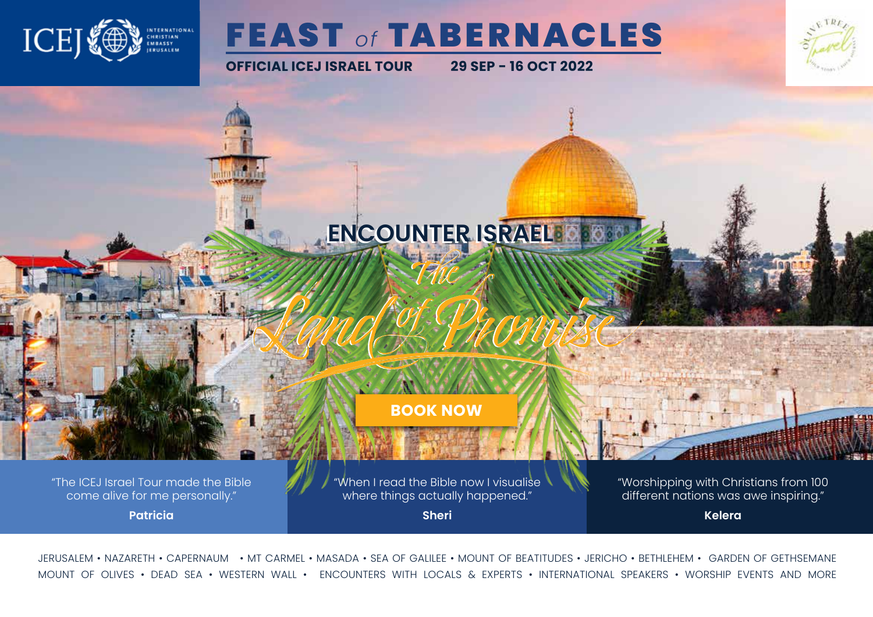

## **FEAST of TABERNACLES**

**OFFICIAL ICEJ ISRAEL TOUR 29 SEP - 16 OCT 2022**



**[BOOK NOW](https://icej.org.au/Feast2022)**

**ENCOUNTER ISRAEL ENCOUNTER ISRAEL**

"The ICEJ Israel Tour made the Bible come alive for me personally."

**Patricia**

"When I read the Bible now I visualise where things actually happened." **Sheri**

"Worshipping with Christians from 100 different nations was awe inspiring."

**Kelera**

JERUSALEM • NAZARETH • CAPERNAUM • MT CARMEL • MASADA • SEA OF GALILEE • MOUNT OF BEATITUDES • JERICHO • BETHLEHEM • GARDEN OF GETHSEMANE MOUNT OF OLIVES • DEAD SEA • WESTERN WALL • ENCOUNTERS WITH LOCALS & EXPERTS • INTERNATIONAL SPEAKERS • WORSHIP EVENTS AND MORE